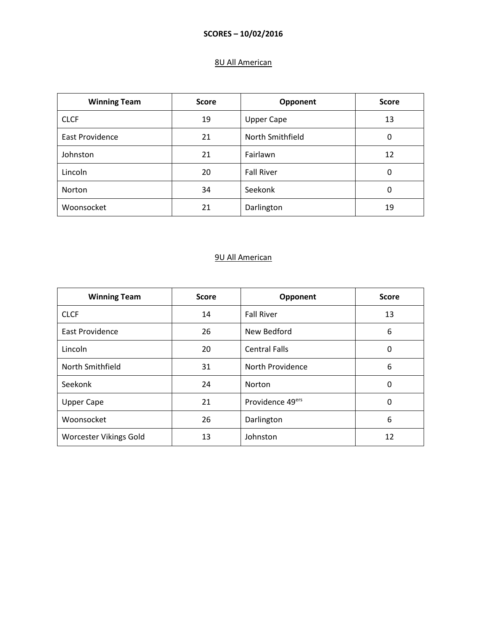### 8U All American

| <b>Winning Team</b>    | <b>Score</b> | Opponent          | <b>Score</b> |
|------------------------|--------------|-------------------|--------------|
| <b>CLCF</b>            | 19           | <b>Upper Cape</b> | 13           |
| <b>East Providence</b> | 21           | North Smithfield  | 0            |
| Johnston               | 21           | Fairlawn          | 12           |
| Lincoln                | 20           | <b>Fall River</b> | 0            |
| Norton                 | 34           | Seekonk           | 0            |
| Woonsocket             | 21           | Darlington        | 19           |

| <b>Winning Team</b>           | <b>Score</b> | Opponent             | <b>Score</b> |
|-------------------------------|--------------|----------------------|--------------|
| <b>CLCF</b>                   | 14           | <b>Fall River</b>    | 13           |
| East Providence               | 26           | New Bedford          | 6            |
| Lincoln                       | 20           | <b>Central Falls</b> | 0            |
| North Smithfield              | 31           | North Providence     | 6            |
| Seekonk                       | 24           | Norton               | 0            |
| <b>Upper Cape</b>             | 21           | Providence 49ers     | 0            |
| Woonsocket                    | 26           | Darlington           | 6            |
| <b>Worcester Vikings Gold</b> | 13           | Johnston             | 12           |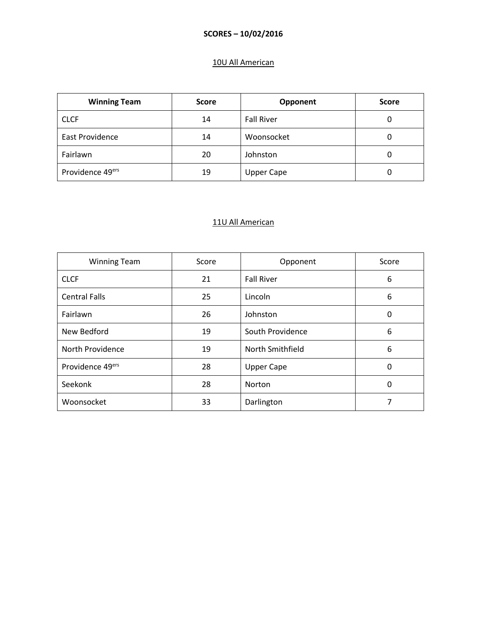# 10U All American

| <b>Winning Team</b>    | <b>Score</b> | Opponent          | <b>Score</b> |
|------------------------|--------------|-------------------|--------------|
| <b>CLCF</b>            | 14           | <b>Fall River</b> | 0            |
| <b>East Providence</b> | 14           | Woonsocket        | 0            |
| Fairlawn               | 20           | Johnston          | 0            |
| Providence 49ers       | 19           | <b>Upper Cape</b> | 0            |

| <b>Winning Team</b>  | Score | Opponent          | Score |
|----------------------|-------|-------------------|-------|
| <b>CLCF</b>          | 21    | <b>Fall River</b> | 6     |
| <b>Central Falls</b> | 25    | Lincoln           | 6     |
| Fairlawn             | 26    | Johnston          | 0     |
| New Bedford          | 19    | South Providence  | 6     |
| North Providence     | 19    | North Smithfield  | 6     |
| Providence 49ers     | 28    | <b>Upper Cape</b> | 0     |
| Seekonk              | 28    | Norton            | 0     |
| Woonsocket           | 33    | Darlington        |       |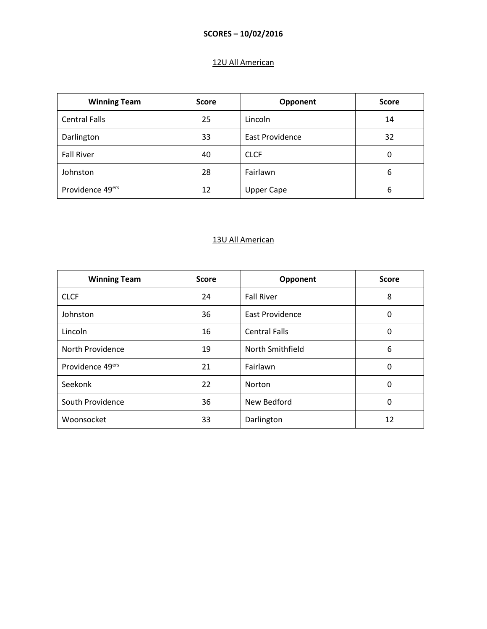# 12U All American

| <b>Winning Team</b>  | <b>Score</b> | Opponent          | <b>Score</b> |
|----------------------|--------------|-------------------|--------------|
| <b>Central Falls</b> | 25           | Lincoln           | 14           |
| Darlington           | 33           | East Providence   | 32           |
| <b>Fall River</b>    | 40           | <b>CLCF</b>       | 0            |
| Johnston             | 28           | Fairlawn          | 6            |
| Providence 49ers     | 12           | <b>Upper Cape</b> | 6            |

| <b>Winning Team</b> | <b>Score</b> | Opponent               | <b>Score</b> |
|---------------------|--------------|------------------------|--------------|
| <b>CLCF</b>         | 24           | <b>Fall River</b>      | 8            |
| Johnston            | 36           | <b>East Providence</b> | 0            |
| Lincoln             | 16           | <b>Central Falls</b>   | 0            |
| North Providence    | 19           | North Smithfield       | 6            |
| Providence 49ers    | 21           | Fairlawn               | 0            |
| Seekonk             | 22           | Norton                 | 0            |
| South Providence    | 36           | New Bedford            | 0            |
| Woonsocket          | 33           | Darlington             | 12           |